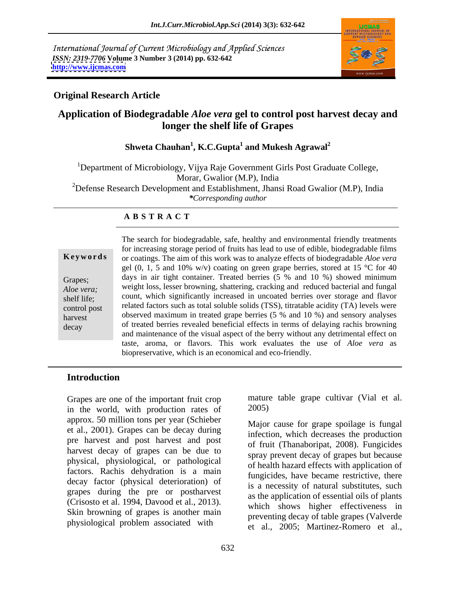International Journal of Current Microbiology and Applied Sciences *ISSN: 2319-7706* **Volume 3 Number 3 (2014) pp. 632-642 <http://www.ijcmas.com>**



# **Original Research Article**

# **Application of Biodegradable** *Aloe vera* **gel to control post harvest decay and longer the shelf life of Grapes**

### **Shweta Chauhan<sup>1</sup> , K.C.Gupta<sup>1</sup> and Mukesh Agrawal<sup>2</sup>**

<sup>1</sup>Department of Microbiology, Vijya Raje Government Girls Post Graduate College, Morar, Gwalior (M.P), India <sup>2</sup>Defense Research Development and Establishment, Jhansi Road Gwalior (M.P), India *\*Corresponding author* 

### **A B S T R A C T**

**Ke ywo rds** or coatings. The aim of this work was to analyze effects of biodegradable *Aloe vera*  Grapes; days in air tight container. Treated berries (5 % and 10 %) showed minimum *Aloe vera;* weight loss, lesser browning, shattering, cracking and reduced bacterial and fungal shelf life; count, which significantly increased in uncoated berries over storage and flavor control post related factors such as total soluble solids (TSS), titratable acidity (TA) levels were harvest between observed maximum in treated grape berries (5 % and 10 %) and sensory analyses decay of treated berries revealed beneficial effects in terms of delaying rachis browning The search for biodegradable, safe, healthy and environmental friendly treatments for increasing storage period of fruits has lead to use of edible, biodegradable films gel  $(0, 1, 5, 40, 10\%$  w/v) coating on green grape berries, stored at 15 °C for 40 and maintenance of the visual aspect of the berry without any detrimental effect on taste, aroma, or flavors. This work evaluates the use of *Aloe vera* as biopreservative*,* which is an economical and eco-friendly.

## **Introduction**

Grapes are one of the important fruit crop mature<br>in the world with production rates of 2005) in the world, with production rates of approx. 50 million tons per year (Schieber et al., 2001). Grapes can be decay during pre harvest and post harvest and post harvest decay of grapes can be due to physical, physiological, or pathological factors. Rachis dehydration is a main decay factor (physical deterioration) of grapes during the pre or postharvest (Crisosto et al. 1994, Davood et al., 2013). Skin browning of grapes is another main physiological problem associated with

mature table grape cultivar (Vial et al. 2005)

Major cause for grape spoilage is fungal infection, which decreases the production of fruit (Thanaboripat, 2008). Fungicides spray prevent decay of grapes but because of health hazard effects with application of fungicides, have became restrictive, there is a necessity of natural substitutes, such as the application of essential oils of plants which shows higher effectiveness in preventing decay of table grapes (Valverde et al., 2005; Martinez-Romero et al.,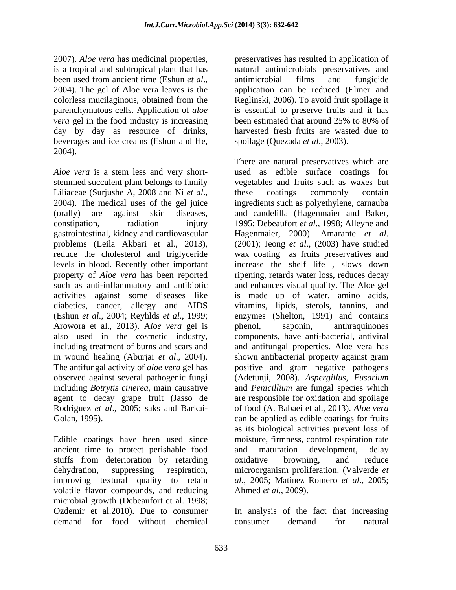parenchymatous cells. Application of *aloe vera* gel in the food industry is increasing been estimated that around 25% to 80% of day by day as resource of drinks, beverages and ice creams (Eshun and He, 2004).

*Aloe vera* is a stem less and very short gastrointestinal, kidney and cardiovascular Hagenmaier, 2000). Amarante et al. Arowora et al., 2013). A*loe vera* gel is in wound healing (Aburjai *et al*., 2004). agent to decay grape fruit (Jasso de

ancient time to protect perishable food stuffs from deterioration by retarding oxidative browning, and reduce improving textural quality to retain volatile flavor compounds, and reducing microbial growth (Debeaufort et al. 1998; Ozdemir et al.2010). Due to consumer In analysis of the fact that increasing demand for food without chemical

2007). *Aloe vera* has medicinal properties, preservatives has resulted in application of is a tropical and subtropical plant that has natural antimicrobials preservatives and been used from ancient time (Eshun *et al.*, antimicrobial films and fungicide 2004). The gel of Aloe vera leaves is the application can be reduced (Elmer and colorless mucilaginous, obtained from the Reglinski, 2006).To avoid fruit spoilage it antimicrobial films and fungicide application can be reduced (Elmer and is essential to preserve fruits and it has been estimated that around 25% to 80% of harvested fresh fruits are wasted due to spoilage (Quezada *et al*., 2003).

stemmed succulent plant belongs to family vegetables and fruits such as waxes but Liliaceae (Surjushe A, 2008 and Ni *et al*., these coatings commonly contain 2004). The medical uses of the gel juice ingredients such as polyethylene, carnauba (orally) are against skin diseases, and candelilla (Hagenmaier and Baker, constipation, radiation injury 1995; Debeaufort *et al*., 1998; Alleyne and problems (Leila Akbari et al., 2013), (2001); Jeong *et al.*, (2003) have studied reduce the cholesterol and triglyceride wax coating as fruits preservatives and levels in blood. Recently other important increase the shelf life , slows down property of *Aloe vera* has been reported ripening, retards water loss, reduces decay such as anti-inflammatory and antibiotic and enhances visual quality. The Aloe gel activities against some diseases like is made up of water, amino acids, diabetics, cancer, allergy and AIDS vitamins, lipids, sterols, tannins, and (Eshun *et al*., 2004; Reyhlds *et al*., 1999; enzymes (Shelton, 1991) and contains also used in the cosmetic industry, components, have anti-bacterial, antiviral including treatment of burns and scars and and antifungal properties. Aloe vera has The antifungal activity of *aloe vera* gel has positive and gram negative pathogens observed against several pathogenic fungi (Adetunji, 2008). *Aspergillus*, *Fusarium*  including *Botrytis cinerea,* main causative and *Penicillium* are fungal species which Rodriguez *et al*., 2005; saks and Barkai- of food (A. Babaei et al., 2013). *Aloe vera* Golan, 1995). can be applied as edible coatings for fruits Edible coatings have been used since moisture, firmness, control respiration rate dehydration, suppressing respiration, microorganism proliferation. (Valverde *et*  There are natural preservatives which are used as edible surface coatings for these coatings commonly contain ingredients such as polyethylene, carnauba Hagenmaier, 2000). Amarante *et al*. (2001); Jeong *et al*., (2003) have studied wax coating as fruits preservatives and phenol, saponin, anthraquinones shown antibacterial property against gram are responsible for oxidation and spoilage as its biological activities prevent loss of and maturation development, delay oxidative browning, and reduce *al*., 2005; Matinez Romero *et al*., 2005; Ahmed *et al*., 2009).

consumer demand for natural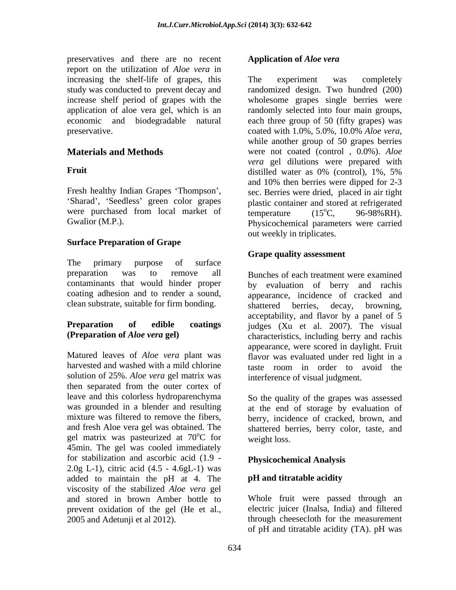preservatives and there are no recent report on the utilization of *Aloe vera* in increasing the shelf-life of grapes, this The experiment was completely preservative. coated with 1.0%, 5.0%, 10.0% Aloe vera,

were purchased from local market of  $\frac{1}{15^{\circ}C}$ , 96-98%RH).

### **Surface Preparation of Grape**

The primary purpose of surface preparation was to remove all Bunches of each treatment were examined clean substrate, suitable for firm bonding.<br>shattered berries, decay, browning,

solution of 25%. *Aloe vera* gel matrix was then separated from the outer cortex of leave and this colorless hydroparenchyma was grounded in a blender and resulting at the end of storage by evaluation of mixture was filtered to remove the fibers, berry, incidence of cracked, brown, and and fresh Aloe vera gel was obtained. The shattered berries, berry color, taste, and gel matrix was pasteurized at  $70^{\circ}$ C for weight loss. 45min. The gel was cooled immediately for stabilization and ascorbic acid (1.9 -  $2.0g$  L-1), citric acid  $(4.5 - 4.6gL-1)$  was added to maintain the pH at 4. The pH and titratable acidity viscosity of the stabilized *Aloe vera* gel prevent oxidation of the gel (He et al.,

### **Application of** *Aloe vera*

study was conducted to prevent decay and randomized design. Two hundred (200) increase shelf period of grapes with the wholesome grapes single berries were application of aloe vera gel, which is an randomly selected into four main groups, economic and biodegradable natural each three group of 50 (fifty grapes) was **Materials and Methods** were not coated (control , 0.0%). *Aloe*  **Fruit** distilled water as 0% (control), 1%, 5% Fresh healthy Indian Grapes 'Thompson', sec. Berries were dried, placed in air tight Sharad', 'Seedless' green color grapes plastic container and stored at refrigerated Gwalior (M.P.). Physicochemical parameters were carried The experiment was completely coated with 1.0%, 5.0%, 10.0% *Aloe vera,* while another group of 50 grapes berries *vera* gel dilutions were prepared with distilled water as 0% (control), 1%, 5% and 10% then berries were dipped for 2-3 temperature  $(15^{\circ}\text{C}, 96\text{-}98\% \text{RH}).$  $^{\circ}C$ , 96-98%RH). out weekly in triplicates.

## **Grape quality assessment**

contaminants that would hinder proper by evaluation of berry and rachis coating adhesion and to render a sound, appearance, incidence of cracked and **Preparation of edible coatings** judges (Xu et al. 2007). The visual **(Preparation of** *Aloe vera* **gel)** characteristics, including berry and rachis Matured leaves of *Aloe vera* plant was flavor was evaluated under red light in a harvested and washed with a mild chlorine taste room in order to avoid the shattered berries, decay, browning, acceptability, and flavor by a panel of 5 appearance, were scored in daylight. Fruit interference of visual judgment.

<sup>o</sup>C for weight loss. So the quality of the grapes was assessed weight loss.

# **Physicochemical Analysis**

### **pH and titratable acidity**

and stored in brown Amber bottle to Whole fruit were passed through an 2005 and Adetunji et al 2012). through cheesecloth for the measurement electric juicer (Inalsa, India) and filtered of pH and titratable acidity (TA). pH was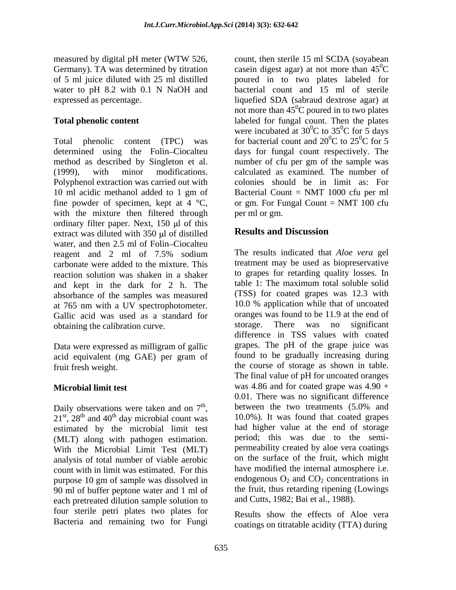Total phenolic content (TPC) was for bacterial count and  $20^0C$  to  $25^0C$  for 5 determined using the Folin-Ciocalteu method as described by Singleton et al. number of cfu per gm of the sample was (1999), with minor modifications. calculated as examined. The number of Polyphenol extraction was carried out with 10 ml acidic methanol added to 1 gm of Bacterial Count = NMT 1000 cfu per ml fine powder of specimen, kept at 4  $^{\circ}C$ , or gm. For Fungal Count = NMT 100 cfu with the mixture then filtered through ordinary filter paper. Next,  $150 \mu l$  of this<br>extract was diluted with  $350 \mu l$  of distilled<br>Results and Discussion extract was diluted with  $350 \mu l$  of distilled water, and then 2.5 ml of Folin-Ciocalteu reagent and 2 ml of 7.5% sodium carbonate were added to the mixture. This reaction solution was shaken in a shaker<br>and kept in the dark for 2 h The table 1: The maximum total soluble solid and kept in the dark for 2 h. The absorbance of the samples was measured at 765 nm with a UV spectrophotometer. Gallic acid was used as a standard for oranges was found to be 11.9 at the end of obtaining the calibration curve storage. There was no significant obtaining the calibration curve.

Data were expressed as milligram of gallic

Daily observations were taken and on  $7<sup>th</sup>$ , estimated by the microbial limit test<br>
(MLT) along with pathogen estimation<br>
period; this was due to the semi-(MLT) along with pathogen estimation. period; this was due to the semi-<br>With the Microbial Limit Test (MLT) permeability created by aloe vera coatings With the Microbial Limit Test (MLT) analysis of total number of viable aerobic count with in limit was estimated. For this 90 ml of buffer peptone water and 1 ml of each pretreated dilution sample solution to four sterile petri plates two plates for Bacteria and remaining two for Fungi

measured by digital pH meter (WTW 526, count, then sterile 15 ml SCDA (soyabean Germany). TA was determined by titration casein digest agar) at not more than  $45^{\circ}$ C of 5 ml juice diluted with 25 ml distilled poured in to two plates labeled for water to pH 8.2 with 0.1 N NaOH and bacterial count and 15 ml of sterile expressed as percentage. liquefied SDA (sabraud dextrose agar) at **Total phenolic content Example 2** abeled for fungal count. Then the plates count, then sterile 15 ml SCDA (soyabean  ${}^{0}C$ not more than  $45^{\circ}$ C poured in to two plates were incubated at  $30^{\circ}$ C to  $35^{\circ}$ C for 5 days  $\rm ^{0}C$  to 35<sup>0</sup>C for 5 days  ${}^{0}C$  for 5 days <sup>0</sup>C to 25<sup>0</sup>C for 5  ${}^{0}C$  for 5 days for fungal count respectively. The colonies should be in limit as: For per ml or gm.

# **Results and Discussion**

acid equivalent (mg GAE) per gram of found to be gradually increasing during fruit fresh weight. the course of storage as shown in table. **Microbial limit test** was 4.86 and for coated grape was 4.90 + between the two treatments  $(5.0\%$  and Daily observations were taken and on  $7^{\text{th}}$ , between the two treatments (5.0% and  $21^{\text{st}}$ ,  $28^{\text{th}}$  and  $40^{\text{th}}$  day microbial count was  $10.0\%$ ). It was found that coated grapes  $t<sup>th</sup>$  and 40<sup>th</sup> day microbial count was 10.0%). It was found that coated grapes purpose 10 gm of sample was dissolved in endogenous  $O_2$  and  $CO_2$  concentrations in The results indicated that *Aloe vera* gel treatment may be used as biopreservative to grapes for retarding quality losses. In table 1: The maximum total soluble solid (TSS) for coated grapes was 12.3 with 10.0 % application while that of uncoated oranges was found to be 11.9 at the end of storage. There was no significant difference in TSS values with coated grapes. The pH of the grape juice was found to be gradually increasing during The final value of pH for uncoated oranges 0.01. There was no significant difference between the two treatments (5.0% and had higher value at the end of storage period; this was due to the semi-permeability created by aloe vera coatings on the surface of the fruit, which might have modified the internal atmosphere i.e. endogenous  $O_2$  and  $CO_2$  concentrations in the fruit, thus retarding ripening (Lowings and Cutts, 1982; Bai et al., 1988).

> Results show the effects of Aloe vera coatings on titratable acidity (TTA) during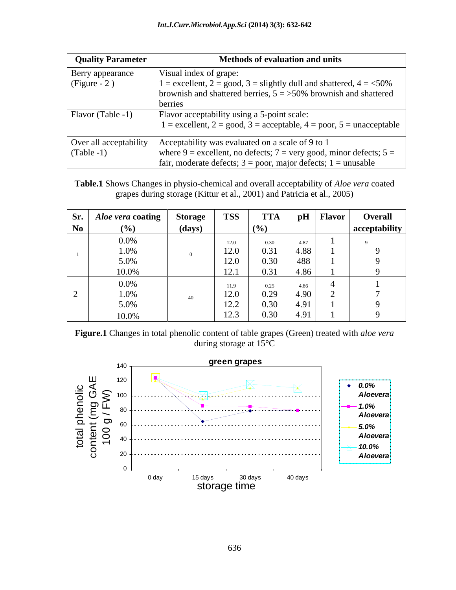| <b>Quality Parameter</b> | <b>Methods of evaluation and units</b>                                        |
|--------------------------|-------------------------------------------------------------------------------|
| Berry appearance         | Visual index of grape:                                                        |
| $(Figure - 2)$           | $1 =$ excellent, $2 =$ good, $3 =$ slightly dull and shattered, $4 =$ <50%    |
|                          | brownish and shattered berries, $5 = 50\%$ brownish and shattered             |
|                          | berries                                                                       |
| Flavor (Table -1)        | Flavor acceptability using a 5-point scale:                                   |
|                          | $1 =$ excellent, $2 =$ good, $3 =$ acceptable, $4 =$ poor, $5 =$ unacceptable |
| Over all acceptability   | Acceptability was evaluated on a scale of 9 to 1                              |
|                          |                                                                               |
| $(Table -1)$             | where $9$ = excellent, no defects; $7$ = very good, minor defects; $5$ =      |
|                          | fair, moderate defects; $3 = poor$ , major defects; $1 = unusable$            |

**Table.1** Shows Changes in physio-chemical and overall acceptability of *Aloe vera* coated grapes during storage (Kittur et al., 2001) and Patricia et al., 2005)

|    | Sr.   <i>Aloe vera</i> coating   Storage |        | <b>TSS</b>               | <b>TTA</b> |      | $ $ pH   Flavor | Overall       |
|----|------------------------------------------|--------|--------------------------|------------|------|-----------------|---------------|
| No | (%)                                      | (days) |                          | (%)        |      |                 | acceptability |
|    | $0.0\%$                                  |        | 12.0                     | 0.30       | 4.87 |                 |               |
|    | 1.0%                                     |        | 12.0                     | 0.31       | 4.88 |                 |               |
|    | 5.0%                                     |        | 12.0                     | 0.30       | 488  |                 |               |
|    | 10.0%                                    |        | 10 <sup>1</sup><br>1/4.1 | 0.31       | 4.86 |                 |               |
|    | $0.0\%$                                  |        | 11.9                     | 0.25       | 4.86 |                 |               |
|    | 1.0%                                     | 40     | 12.0                     | 0.29       | 4.90 |                 |               |
|    | 5.0%                                     |        | 12.2                     | 0.30       | 4.91 |                 |               |
|    | 10.0%                                    |        | 12.3                     | 0.30       | 4.91 |                 |               |

**Figure.1** Changes in total phenolic content of table grapes (Green) treated with *aloe vera* during storage at 15°C

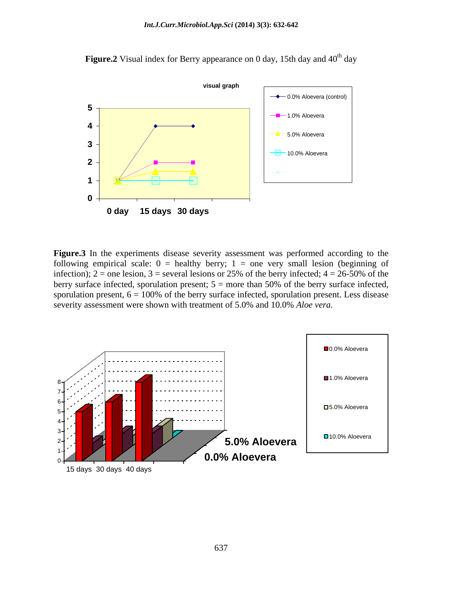

Figure.2 Visual index for Berry appearance on 0 day, 15th day and 40<sup>th</sup> day

**Figure.3** In the experiments disease severity assessment was performed according to the following empirical scale:  $0 =$  healthy berry;  $1 =$  one very small lesion (beginning of infection); 2 = one lesion, 3 = several lesions or 25% of the berry infected;  $4 = 26-50\%$  of the berry surface infected, sporulation present;  $5 =$  more than 50% of the berry surface infected, sporulation present,  $6 = 100\%$  of the berry surface infected, sporulation present. Less disease severity assessment were shown with treatment of 5.0% and 10.0% *Aloe vera.*

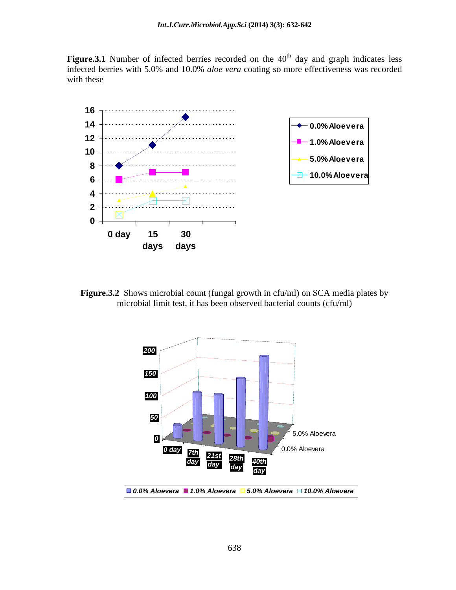Figure.3.1 Number of infected berries recorded on the 40<sup>th</sup> day and graph indicates less infected berries with 5.0% and 10.0% *aloe vera* coating so more effectiveness was recorded with these examples are not contained by the set of  $\mathcal{L}$  and  $\mathcal{L}$  are not contained by the set of  $\mathcal{L}$ 



**Figure.3.2** Shows microbial count (fungal growth in cfu/ml) on SCA media plates by microbial limit test, it has been observed bacterial counts (cfu/ml)

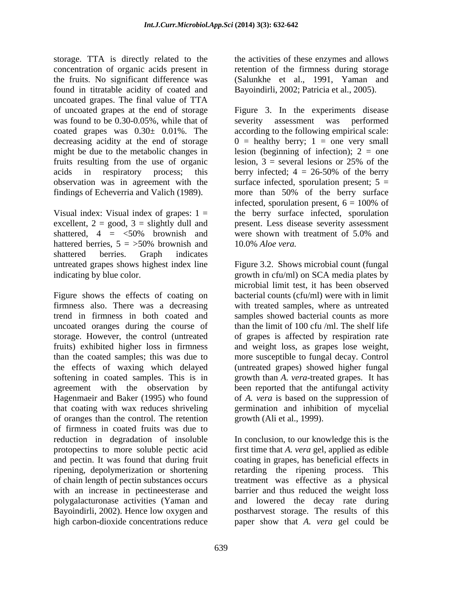storage. TTA is directly related to the the activities of these enzymes and allows concentration of organic acids present in the fruits. No significant difference was found in titratable acidity of coated and uncoated grapes. The final value of TTA of uncoated grapes at the end of storage Figure 3. In the experiments disease was found to be 0.30-0.05%, while that of severity assessment was performed coated grapes was  $0.30 \pm 0.01\%$ . The according to the following empirical scale: decreasing acidity at the end of storage  $0 =$  healthy berry; 1 = one very small might be due to the metabolic changes in fruits resulting from the use of organic lesion,  $3$  = several lesions or 25% of the acids in respiratory process; this berry infected; 4 = 26-50% of the berry observation was in agreement with the surface infected, sporulation present; 5 = findings of Echeverria and Valich (1989).

shattered berries. Graph indicates untreated grapes shows highest index line Figure 3.2. Shows microbial count (fungal indicating by blue color. growth in cfu/ml) on SCA media plates by

Figure shows the effects of coating on firmness also. There was a decreasing with treated samples, where as untreated trend in firmness in both coated and samples showed bacterial counts as more uncoated oranges during the course of than the limit of 100 cfu /ml. The shelf life storage. However, the control (untreated of grapes is affected by respiration rate fruits) exhibited higher loss in firmness and weight loss, as grapes lose weight, than the coated samples; this was due to more susceptible to fungal decay. Control the effects of waxing which delayed (untreated grapes) showed higher fungal softening in coated samples. This is in growth than *A. vera*-treated grapes. It has agreement with the observation by been reported that the antifungal activity Hagenmaeir and Baker (1995) who found of *A. vera* is based on the suppression of that coating with wax reduces shriveling of oranges than the control. The retention of firmness in coated fruits was due to reduction in degradation of insoluble In conclusion, to our knowledge this is the protopectins to more soluble pectic acid first time that *A. vera* gel, applied as edible and pectin. It was found that during fruit coating in grapes, has beneficial effects in ripening, depolymerization or shortening retarding the ripening process. This of chain length of pectin substances occurs with an increase in pectineesterase and barrier and thus reduced the weight loss polygalacturonase activities (Yaman and and lowered the decay rate during Bayoindirli, 2002). Hence low oxygen and postharvest storage. The results of this high carbon-dioxide concentrations reduce paper show that *A. vera* gel could be

retention of the firmness during storage (Salunkhe et al., 1991, Yaman and Bayoindirli, 2002; Patricia et al., 2005).

Visual index: Visual index of grapes:  $1 =$  the berry surface infected, sporulation excellent, 2 = good, 3 = slightly dull and present. Less disease severity assessment shattered,  $4 = \langle 50\%$  brownish and were shown with treatment of 5.0% and hattered berries,  $5 = 50\%$  brownish and  $10.0\%$  *Aloe vera*. severity assessment was lesion (beginning of infection);  $2 =$  one lesion,  $3 =$  several lesions or 25% of the more than 50% of the berry surface infected, sporulation present,  $6 = 100\%$  of were shown with treatment of 5.0% and 10.0% *Aloe vera.* 

> microbial limit test, it has been observed bacterial counts (cfu/ml) were with in limit germination and inhibition of mycelial growth (Ali et al., 1999).

> treatment was effective as a physical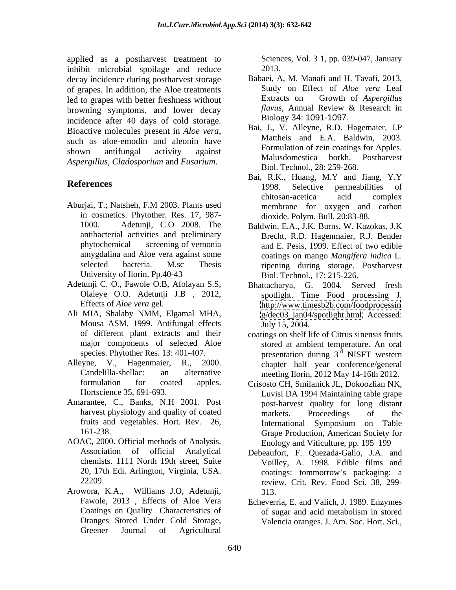applied as a postharvest treatment to inhibit microbial spoilage and reduce 2013. decay incidence during postharvest storage of grapes. In addition, the Aloe treatments<br>led to grapes with better freshness without **Extracts** on Growth of Aspergillus led to grapes with better freshness without Let be the stracts on a Growth of Aspergillus<br>browning symptoms and lower decay flavus. Annual Review & Research in browning symptoms, and lower decay flavus, Annual Review of relationships of cold storage Biology 34: 1091-1097. incidence after 40 days of cold storage. *Aspergillus*, *Cladosporium* and *Fusarium*.

- in cosmetics. Phytother. Res. 17, 987 antibacterial activities and preliminary amygdalina and Aloe vera against some
- Adetunji C. O., Fawole O.B, Afolayan S.S,
- Ali MIA, Shalaby NMM, Elgamal MHA, Mousa ASM, 1999. Antifungal effects major components of selected Aloe
- formulation for coated apples. Crisosto CH, Smilanick JL, Dokoozlian NK,
- Amarantee, C., Banks, N.H 2001. Post
- AOAC, 2000. Official methods of Analysis.
- Arowora, K.A., Williams J.O, Adetunji, Oranges Stored Under Cold Storage, Valencia oranges J. Am. Soc. Hort. Sci., Greener Journal of Agricultural

Sciences, Vol. 3 1, pp. 039-047, January 2013.

- Babaei, A, M. Manafi and H. Tavafi, 2013, Study on Effect of *Aloe vera* Leaf Extracts on Growth of *Aspergillus flavus,* Annual Review & Research in Biology 34: 1091-1097.
- Bioactive molecules present in *Aloe vera*,<br>such as aloe-emodin and aleonin have Mattheis and E.A. Baldwin, 2003. shown antifungal activity against **Example 2011** FOILLONGLARIZED COALIDER TO Apples. Bai, J., V. Alleyne, R.D. Hagemaier, J.P Mattheis and E.A. Baldwin, 2003. Formulation of zein coatings for Apples. Malusdomestica borkh. Postharvest Biol. Technol., 28: 259-268.
- **References** Aburjai, T.; Natsheh, F.M 2003. Plants used Bai, R.K., Huang, M.Y and Jiang, Y.Y 1998. Selective permeabilities of chitosan-acetica acid complex membrane for oxygen and carbon dioxide. Polym. Bull. 20:83-88.
	- 1000. Adetunji, C.O 2008. The Baldwin, E.A., J.K. Burns, W. Kazokas, J.K phytochemical screening of vernonia and E. Pesis, 1999. Effect of two edible selected bacteria. M.sc Thesis ripening during storage. Postharvest University of Ilorin. Pp.40-43 Biol. Technol., 17: 215-226. Brecht, R.D. Hagenmaier, R.J. Bender coatings on mango *Mangifera indica* L.
	- Olaleye O.O. Adetunji J.B , 2012, spotlight. Time Food processing J. Effects of *Aloe vera* gel. <http://www.timesb2b.com/foodprocessin> Bhattacharya, G. 2004. Served fresh [g/dec03\\_jan04/spotlight.html.](g/dec03_jan04/spotlight.html) Accessed: July 15, 2004.
- of different plant extracts and their coatings on shelf life of Citrus sinensis fruits species. Phytother Res. 13: 401-407. presentation during  $3<sup>rd</sup>$  NISFT western Alleyne, V., Hagenmaier, R., 2000. chapter half year conference/general Candelilla-shellac: an alternative meeting Ilorin, 2012 May 14-16th 2012. stored at ambient temperature. An oral rd NISFT western
	- Hortscience 35, 691-693. Luvisi DA 1994 Maintaining table grape harvest physiology and quality of coated markets. Proceedings of the fruits and vegetables. Hort. Rev. 26, International Symposium on Table 161-238. Grape Production, American Society for post-harvest quality for long distant markets. Proceedings of the International Symposium on Table Enology and Viticulture, pp. 195–199
	- Association of official Analytical Debeaufort, F. Quezada-Gallo, J.A. and chemists. 1111 North 19th street, Suite Voilley, A. 1998. Edible films and 20, 17th Edi. Arlington, Virginia, USA. coatings: tommorrow s packaging: a 22209. review. Crit. Rev. Food Sci. 38, 299- 313.
	- Fawole, 2013 , Effects of Aloe Vera Echeverria, E. and Valich, J. 1989. Enzymes Coatings on Quality Characteristics of of sugar and acid metabolism in stored of sugar and acid metabolism in stored Valencia oranges. J. Am. Soc. Hort. Sci.,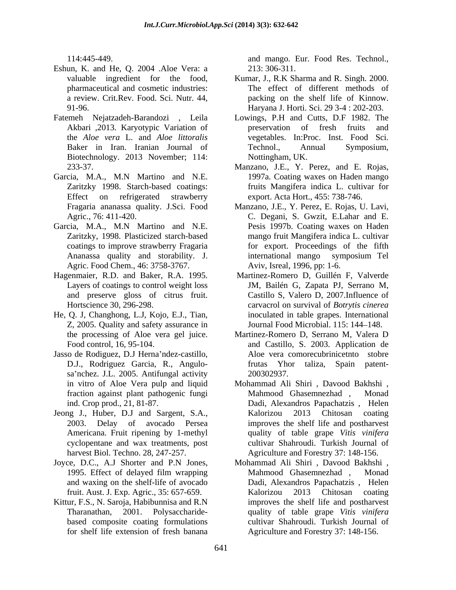- Eshun, K. and He, Q. 2004 .Aloe Vera: a 213: 306-311.
- Fatemeh Nejatzadeh-Barandozi , Leila Lowings, P.H and Cutts, D.F 1982. The Biotechnology. 2013 November; 114:
- Garcia, M.A., M.N Martino and N.E. Effect on refrigerated strawberry
- Garcia, M.A., M.N Martino and N.E. Agric. Food Chem., 46: 3758-3767.
- Hagenmaier, R.D. and Baker, R.A. 1995. and preserve gloss of citrus fruit.
- He, Q. J, Changhong, L.J, Kojo, E.J., Tian, Z, 2005. Quality and safety assurance in
- Jasso de Rodiguez, D.J Herna'ndez-castillo, sa'nchez. J.L. 2005. Antifungal activity 200302937.
- Jeong J., Huber, D.J and Sargent, S.A.,
- and waxing on the shelf-life of avocado
- Kittur, F.S., N. Saroja, Habibunnisa and R.N

114:445-449. and mango. Eur. Food Res. Technol., 213: 306-311.

- valuable ingredient for the food, Kumar, J., R.K Sharma and R. Singh. 2000. pharmaceutical and cosmetic industries: The effect of different methods of a review. Crit.Rev. Food. Sci. Nutr. 44, packing on the shelf life of Kinnow. 91-96. Haryana J. Horti. Sci. 29 3-4 : 202-203.
- Akbari , 2013. Karyotypic Variation of preservation of fresh fruits and the *Aloe vera* L. and *Aloe littoralis* vegetables. In:Proc. Inst. Food Sci. Baker in Iran. Iranian Journal of Technol., Annual Symposium, preservation of fresh fruits and Technol., Annual Symposium, Nottingham, UK.
- 233-37. Manzano, J.E., Y. Perez, and E. Rojas, Zaritzky 1998. Starch-based coatings: fruits Mangifera indica L. cultivar for 1997a. Coating waxes on Haden mango export. Acta Hort., 455: 738-746.
- Fragaria ananassa quality. J.Sci. Food Manzano, J.E., Y. Perez, E. Rojas, U. Lavi, Agric., 76: 411-420. C. Degani, S. Gwzit, E.Lahar and E. Zaritzky, 1998. Plasticized starch-based mango fruit Mangifera indica L. cultivar coatings to improve strawberry Fragaria for export. Proceedings of the fifth Ananassa quality and storability. J. Pesis 1997b. Coating waxes on Haden international mango symposium Tel Aviv, Isreal, 1996, pp: 1-6.
- Layers of coatings to control weight loss JM, Bailén G, Zapata PJ, Serrano M, Hortscience 30, 296-298. carvacrol on survival of *Botrytis cinerea* Martinez-Romero D, Guillén F, Valverde Castillo S, Valero D, 2007.Influence of inoculated in table grapes. International Journal Food Microbial. 115: 144–148.
- the processing of Aloe vera gel juice. Martinez-Romero D, Serrano M, Valera D Food control, 16, 95-104. and Castillo, S. 2003. Application de D.J., Rodriguez Garcia, R., Angulo- Aloe vera comorecubrinicetnto stobre frutas Yhor taliza, Spain patent- 200302937.
- in vitro of Aloe Vera pulp and liquid Mohammad Ali Shiri , Davood Bakhshi , fraction against plant pathogenic fungi ind. Crop prod., 21, 81-87. Dadi, Alexandros Papachatzis , Helen 2003. Delay of avocado Persea improves the shelf life and postharvest Americana. Fruit ripening by 1-methyl quality of table grape *Vitis vinifera* cyclopentane and wax treatments, post cultivar Shahroudi. Turkish Journal of harvest Biol. Techno. 28, 247-257. Agriculture and Forestry 37: 148-156. Mahmood Ghasemnezhad, Kalorizou 2013 Chitosan coating
- Joyce, D.C., A.J Shorter and P.N Jones, Mohammad Ali Shiri , Davood Bakhshi , 1995. Effect of delayed film wrapping fruit. Aust. J. Exp. Agric., 35: 657-659. Tharanathan, 2001. Polysaccharide- quality of table grape *Vitis vinifera* based composite coating formulations cultivar Shahroudi. Turkish Journal of for shelf life extension of fresh banana Agriculture and Forestry 37: 148-156.Mahmood Ghasemnezhad , Monad Dadi, Alexandros Papachatzis , Helen Kalorizou 2013 Chitosan coating improves the shelf life and postharvest